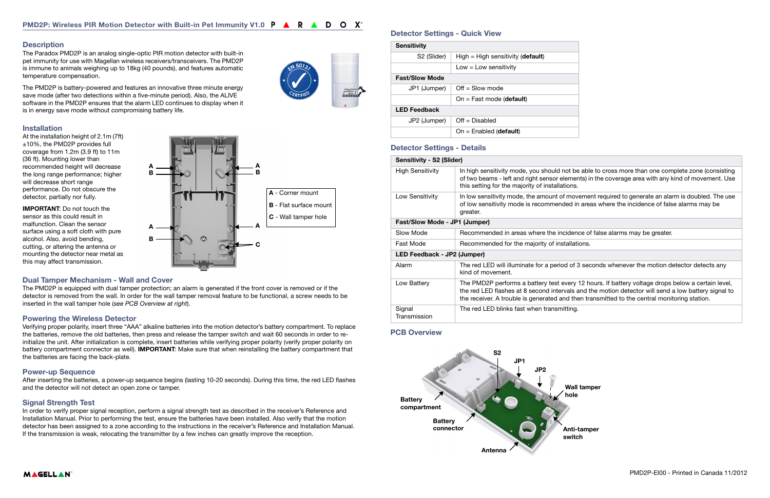# **Description**

# Detector Settings - Quick View

# Detector Settings - Details

| <b>Sensitivity</b>      |                                     |  |
|-------------------------|-------------------------------------|--|
| S <sub>2</sub> (Slider) | $High = High sensitivity (default)$ |  |
|                         | $Low = Low$ sensitivity             |  |
| <b>Fast/Slow Mode</b>   |                                     |  |
| JP1 (Jumper)            | $Off = Slow mode$                   |  |
|                         | On = Fast mode (default)            |  |
| <b>LED Feedback</b>     |                                     |  |
| JP2 (Jumper)            | $Off = Disabled$                    |  |
|                         | $On = Enabeled$ (default)           |  |

| Sensitivity - S2 (Slider)     |                                                                                                                                               |  |
|-------------------------------|-----------------------------------------------------------------------------------------------------------------------------------------------|--|
| High Sensitivity              | In high sensitivity mode, you should not be<br>of two beams - left and right sensor elemen<br>this setting for the majority of installations. |  |
| Low Sensitivity               | In low sensitivity mode, the amount of move<br>of low sensitivity mode is recommended in<br>greater.                                          |  |
| Fast/Slow Mode - JP1 (Jumper) |                                                                                                                                               |  |
| Slow Mode                     | Recommended in areas where the incidenc                                                                                                       |  |
| Fast Mode                     | Recommended for the majority of installation                                                                                                  |  |
| LED Feedback - JP2 (Jumper)   |                                                                                                                                               |  |
| Alarm                         | The red LED will illuminate for a period of 3<br>kind of movement.                                                                            |  |
| Low Battery                   | The PMD2P performs a battery test every 1<br>the red LED flashes at 8 second intervals a<br>the receiver. A trouble is generated and the      |  |
| Signal<br>Transmission        | The red LED blinks fast when transmitting.                                                                                                    |  |

The Paradox PMD2P is an analog single-optic PIR motion detector with built-in pet immunity for use with Magellan wireless receivers/transceivers. The PMD2P is immune to animals weighing up to 18kg (40 pounds), and features automatic temperature compensation.

The PMD2P is battery-powered and features an innovative three minute energy save mode (after two detections within a five-minute period). Also, the ALIVE software in the PMD2P ensures that the alarm LED continues to display when it is in energy save mode without compromising battery life.

#### Installation

At the installation height of 2.1m (7ft) ±10%, the PMD2P provides full coverage from 1.2m (3.9 ft) to 11m (36 ft). Mounting lower than recommended height will decrease the long range performance; higher will decrease short range performance. Do not obscure the detector, partially nor fully.

IMPORTANT: Do not touch the sensor as this could result in malfunction. Clean the sensor surface using a soft cloth with pure alcohol. Also, avoid bending, cutting, or altering the antenna or mounting the detector near metal as this may affect transmission.



#### Dual Tamper Mechanism - Wall and Cover

The PMD2P is equipped with dual tamper protection; an alarm is generated if the front cover is removed or if the detector is removed from the wall. In order for the wall tamper removal feature to be functional, a screw needs to be inserted in the wall tamper hole (see PCB Overview at right).

#### Powering the Wireless Detector

Verifying proper polarity, insert three "AAA" alkaline batteries into the motion detector's battery compartment. To replace the batteries, remove the old batteries, then press and release the tamper switch and wait 60 seconds in order to reinitialize the unit. After initialization is complete, insert batteries while verifying proper polarity (verify proper polarity on battery compartment connector as well). IMPORTANT: Make sure that when reinstalling the battery compartment that the batteries are facing the back-plate.

#### Power-up Sequence

After inserting the batteries, a power-up sequence begins (lasting 10-20 seconds). During this time, the red LED flashes and the detector will not detect an open zone or tamper.

#### Signal Strength Test

In order to verify proper signal reception, perform a signal strength test as described in the receiver's Reference and Installation Manual. Prior to performing the test, ensure the batteries have been installed. Also verify that the motion detector has been assigned to a zone according to the instructions in the receiver's Reference and Installation Manual. If the transmission is weak, relocating the transmitter by a few inches can greatly improve the reception.

# PCB Overview



# **MAGELLAN**

not be able to cross more than one complete zone (consisting ements) in the coverage area with any kind of movement. Use

movement required to generate an alarm is doubled. The use led in areas where the incidence of false alarms may be

idence of false alarms may be greater.

allations.

d of 3 seconds whenever the motion detector detects any

very 12 hours. If battery voltage drops below a certain level, vals and the motion detector will send a low battery signal to the transmitted to the central monitoring station.

Anti-tamper switch

Wall tamper hole